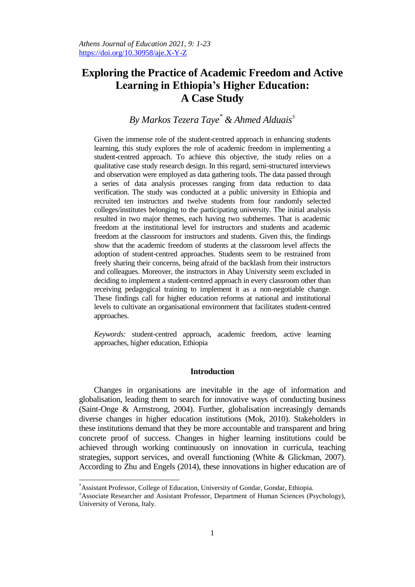# **Exploring the Practice of Academic Freedom and Active Learning in Ethiopia's Higher Education: A Case Study**

# *By Markos Tezera Taye\* & Ahmed Alduais<sup>±</sup>*

Given the immense role of the student-centred approach in enhancing students learning, this study explores the role of academic freedom in implementing a student-centred approach. To achieve this objective, the study relies on a qualitative case study research design. In this regard, semi-structured interviews and observation were employed as data gathering tools. The data passed through a series of data analysis processes ranging from data reduction to data verification. The study was conducted at a public university in Ethiopia and recruited ten instructors and twelve students from four randomly selected colleges/institutes belonging to the participating university. The initial analysis resulted in two major themes, each having two subthemes. That is academic freedom at the institutional level for instructors and students and academic freedom at the classroom for instructors and students. Given this, the findings show that the academic freedom of students at the classroom level affects the adoption of student-centred approaches. Students seem to be restrained from freely sharing their concerns, being afraid of the backlash from their instructors and colleagues. Moreover, the instructors in Abay University seem excluded in deciding to implement a student-centred approach in every classroom other than receiving pedagogical training to implement it as a non-negotiable change. These findings call for higher education reforms at national and institutional levels to cultivate an organisational environment that facilitates student-centred approaches.

*Keywords:* student-centred approach, academic freedom, active learning approaches, higher education, Ethiopia

# **Introduction**

Changes in organisations are inevitable in the age of information and globalisation, leading them to search for innovative ways of conducting business (Saint-Onge & Armstrong, 2004). Further, globalisation increasingly demands diverse changes in higher education institutions (Mok, 2010). Stakeholders in these institutions demand that they be more accountable and transparent and bring concrete proof of success. Changes in higher learning institutions could be achieved through working continuously on innovation in curricula, teaching strategies, support services, and overall functioning (White & Glickman, 2007). According to Zhu and Engels (2014), these innovations in higher education are of

 $\overline{a}$ 

<sup>\*</sup>Assistant Professor, College of Education, University of Gondar, Gondar, Ethiopia.

<sup>±</sup>Associate Researcher and Assistant Professor, Department of Human Sciences (Psychology), University of Verona, Italy.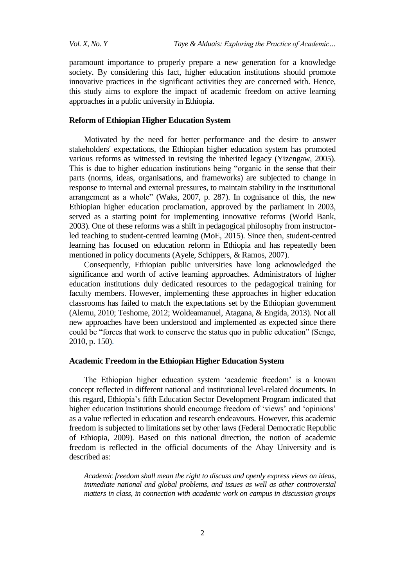paramount importance to properly prepare a new generation for a knowledge society. By considering this fact, higher education institutions should promote innovative practices in the significant activities they are concerned with. Hence, this study aims to explore the impact of academic freedom on active learning approaches in a public university in Ethiopia.

# **Reform of Ethiopian Higher Education System**

Motivated by the need for better performance and the desire to answer stakeholders' expectations, the Ethiopian higher education system has promoted various reforms as witnessed in revising the inherited legacy (Yizengaw, 2005). This is due to higher education institutions being "organic in the sense that their parts (norms, ideas, organisations, and frameworks) are subjected to change in response to internal and external pressures, to maintain stability in the institutional arrangement as a whole" (Waks, 2007, p. 287). In cognisance of this, the new Ethiopian higher education proclamation, approved by the parliament in 2003, served as a starting point for implementing innovative reforms (World Bank, 2003). One of these reforms was a shift in pedagogical philosophy from instructorled teaching to student-centred learning (MoE, 2015). Since then, student-centred learning has focused on education reform in Ethiopia and has repeatedly been mentioned in policy documents (Ayele, Schippers, & Ramos, 2007).

Consequently, Ethiopian public universities have long acknowledged the significance and worth of active learning approaches. Administrators of higher education institutions duly dedicated resources to the pedagogical training for faculty members. However, implementing these approaches in higher education classrooms has failed to match the expectations set by the Ethiopian government (Alemu, 2010; Teshome, 2012; Woldeamanuel, Atagana, & Engida, 2013). Not all new approaches have been understood and implemented as expected since there could be "forces that work to conserve the status quo in public education" (Senge, 2010, p. 150).

#### **Academic Freedom in the Ethiopian Higher Education System**

The Ethiopian higher education system "academic freedom" is a known concept reflected in different national and institutional level-related documents. In this regard, Ethiopia"s fifth Education Sector Development Program indicated that higher education institutions should encourage freedom of 'views' and 'opinions' as a value reflected in education and research endeavours. However, this academic freedom is subjected to limitations set by other laws (Federal Democratic Republic of Ethiopia, 2009). Based on this national direction, the notion of academic freedom is reflected in the official documents of the Abay University and is described as:

*Academic freedom shall mean the right to discuss and openly express views on ideas, immediate national and global problems, and issues as well as other controversial matters in class, in connection with academic work on campus in discussion groups*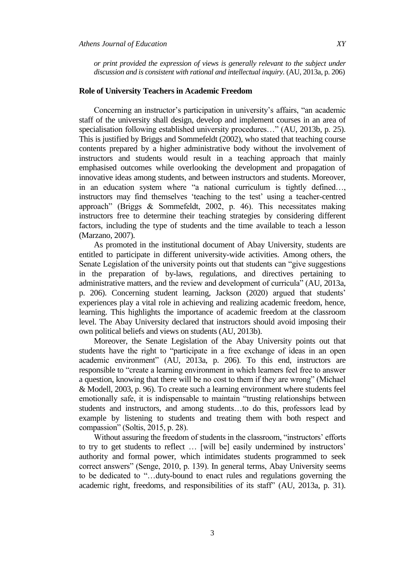*or print provided the expression of views is generally relevant to the subject under discussion and is consistent with rational and intellectual inquiry.* (AU, 2013a, p. 206)

# **Role of University Teachers in Academic Freedom**

Concerning an instructor's participation in university's affairs, "an academic staff of the university shall design, develop and implement courses in an area of specialisation following established university procedures…" (AU, 2013b, p. 25). This is justified by Briggs and Sommefeldt (2002), who stated that teaching course contents prepared by a higher administrative body without the involvement of instructors and students would result in a teaching approach that mainly emphasised outcomes while overlooking the development and propagation of innovative ideas among students, and between instructors and students. Moreover, in an education system where "a national curriculum is tightly defined…, instructors may find themselves 'teaching to the test' using a teacher-centred approach" (Briggs & Sommefeldt, 2002, p. 46). This necessitates making instructors free to determine their teaching strategies by considering different factors, including the type of students and the time available to teach a lesson (Marzano, 2007).

As promoted in the institutional document of Abay University, students are entitled to participate in different university-wide activities. Among others, the Senate Legislation of the university points out that students can "give suggestions in the preparation of by-laws, regulations, and directives pertaining to administrative matters, and the review and development of curricula" (AU, 2013a, p. 206). Concerning student learning, Jackson (2020) argued that students" experiences play a vital role in achieving and realizing academic freedom, hence, learning. This highlights the importance of academic freedom at the classroom level. The Abay University declared that instructors should avoid imposing their own political beliefs and views on students (AU, 2013b).

Moreover, the Senate Legislation of the Abay University points out that students have the right to "participate in a free exchange of ideas in an open academic environment" (AU, 2013a, p. 206). To this end, instructors are responsible to "create a learning environment in which learners feel free to answer a question, knowing that there will be no cost to them if they are wrong" (Michael & Modell, 2003, p. 96). To create such a learning environment where students feel emotionally safe, it is indispensable to maintain "trusting relationships between students and instructors, and among students…to do this, professors lead by example by listening to students and treating them with both respect and compassion" (Soltis, 2015, p. 28).

Without assuring the freedom of students in the classroom, "instructors' efforts to try to get students to reflect ... [will be] easily undermined by instructors' authority and formal power, which intimidates students programmed to seek correct answers" (Senge, 2010, p. 139). In general terms, Abay University seems to be dedicated to "…duty-bound to enact rules and regulations governing the academic right, freedoms, and responsibilities of its staff" (AU, 2013a, p. 31).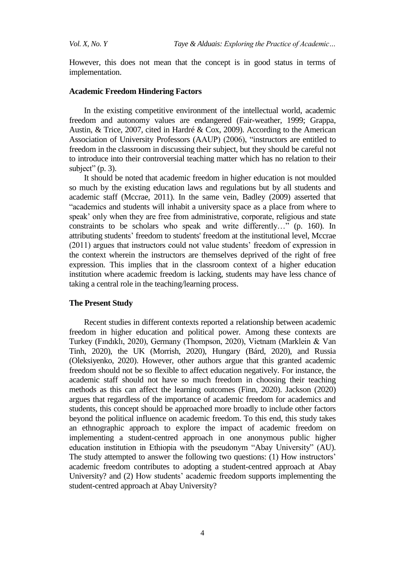However, this does not mean that the concept is in good status in terms of implementation.

#### **Academic Freedom Hindering Factors**

In the existing competitive environment of the intellectual world, academic freedom and autonomy values are endangered (Fair-weather, 1999; Grappa, Austin, & Trice, 2007, cited in Hardré & Cox, 2009). According to the American Association of University Professors (AAUP) (2006), "instructors are entitled to freedom in the classroom in discussing their subject, but they should be careful not to introduce into their controversial teaching matter which has no relation to their subject"  $(p. 3)$ .

It should be noted that academic freedom in higher education is not moulded so much by the existing education laws and regulations but by all students and academic staff (Mccrae, 2011). In the same vein, Badley (2009) asserted that "academics and students will inhabit a university space as a place from where to speak' only when they are free from administrative, corporate, religious and state constraints to be scholars who speak and write differently…" (p. 160). In attributing students" freedom to students' freedom at the institutional level, Mccrae (2011) argues that instructors could not value students" freedom of expression in the context wherein the instructors are themselves deprived of the right of free expression. This implies that in the classroom context of a higher education institution where academic freedom is lacking, students may have less chance of taking a central role in the teaching/learning process.

#### **The Present Study**

Recent studies in different contexts reported a relationship between academic freedom in higher education and political power. Among these contexts are Turkey (Fındıklı, 2020), Germany (Thompson, 2020), Vietnam (Marklein & Van Tinh, 2020), the UK (Morrish, 2020), Hungary (Bárd, 2020), and Russia (Oleksiyenko, 2020). However, other authors argue that this granted academic freedom should not be so flexible to affect education negatively. For instance, the academic staff should not have so much freedom in choosing their teaching methods as this can affect the learning outcomes (Finn, 2020). Jackson (2020) argues that regardless of the importance of academic freedom for academics and students, this concept should be approached more broadly to include other factors beyond the political influence on academic freedom. To this end, this study takes an ethnographic approach to explore the impact of academic freedom on implementing a student-centred approach in one anonymous public higher education institution in Ethiopia with the pseudonym "Abay University" (AU). The study attempted to answer the following two questions: (1) How instructors' academic freedom contributes to adopting a student-centred approach at Abay University? and (2) How students' academic freedom supports implementing the student-centred approach at Abay University?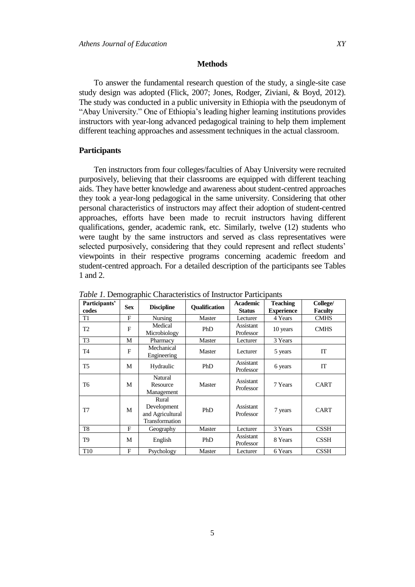To answer the fundamental research question of the study, a single-site case study design was adopted (Flick, 2007; Jones, Rodger, Ziviani, & Boyd, 2012). The study was conducted in a public university in Ethiopia with the pseudonym of "Abay University." One of Ethiopia"s leading higher learning institutions provides instructors with year-long advanced pedagogical training to help them implement different teaching approaches and assessment techniques in the actual classroom.

### **Participants**

Ten instructors from four colleges/faculties of Abay University were recruited purposively, believing that their classrooms are equipped with different teaching aids. They have better knowledge and awareness about student-centred approaches they took a year-long pedagogical in the same university. Considering that other personal characteristics of instructors may affect their adoption of student-centred approaches, efforts have been made to recruit instructors having different qualifications, gender, academic rank, etc. Similarly, twelve (12) students who were taught by the same instructors and served as class representatives were selected purposively, considering that they could represent and reflect students' viewpoints in their respective programs concerning academic freedom and student-centred approach. For a detailed description of the participants see Tables 1 and 2.

|                        | ັ          |                                                            |                      |                                  |                                      |                            |
|------------------------|------------|------------------------------------------------------------|----------------------|----------------------------------|--------------------------------------|----------------------------|
| Participants'<br>codes | <b>Sex</b> | <b>Discipline</b>                                          | <b>Oualification</b> | <b>Academic</b><br><b>Status</b> | <b>Teaching</b><br><b>Experience</b> | College/<br><b>Faculty</b> |
| T1                     | F          | <b>Nursing</b>                                             | Master               | Lecturer                         | 4 Years                              | <b>CMHS</b>                |
| T <sub>2</sub>         | F          | Medical<br>Microbiology                                    | PhD                  | Assistant<br>Professor           | 10 years                             | <b>CMHS</b>                |
| T <sub>3</sub>         | М          | Pharmacy                                                   | Master               | Lecturer                         | 3 Years                              |                            |
| T4                     | F          | Mechanical<br>Engineering                                  | Master               | Lecturer                         | 5 years                              | IT                         |
| T <sub>5</sub>         | М          | Hydraulic                                                  | PhD                  | Assistant<br>Professor           | 6 years                              | IT                         |
| T6                     | М          | Natural<br>Resource<br>Management                          | Master               | Assistant<br>Professor           | 7 Years                              | <b>CART</b>                |
| T7                     | М          | Rural<br>Development<br>and Agricultural<br>Transformation | PhD                  | <b>Assistant</b><br>Professor    | 7 years                              | <b>CART</b>                |
| T <sub>8</sub>         | F          | Geography                                                  | Master               | Lecturer                         | 3 Years                              | <b>CSSH</b>                |
| T9                     | M          | English                                                    | PhD                  | Assistant<br>Professor           | 8 Years                              | <b>CSSH</b>                |
| T <sub>10</sub>        | F          | Psychology                                                 | Master               | Lecturer                         | 6 Years                              | <b>CSSH</b>                |

*Table 1.* Demographic Characteristics of Instructor Participants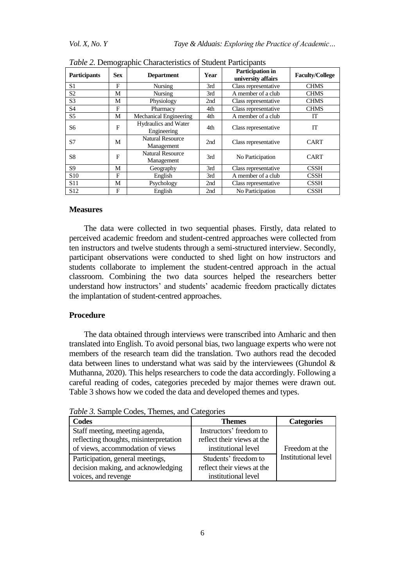| <b>Participants</b> | <b>Sex</b>   | <b>Department</b>                     | Year | <b>Participation in</b><br>university affairs | <b>Faculty/College</b> |
|---------------------|--------------|---------------------------------------|------|-----------------------------------------------|------------------------|
| S1                  | $\mathbf{F}$ | <b>Nursing</b>                        | 3rd  | Class representative                          | <b>CHMS</b>            |
| S2                  | М            | <b>Nursing</b>                        | 3rd  | A member of a club                            | <b>CHMS</b>            |
| S <sub>3</sub>      | М            | Physiology                            | 2nd  | Class representative                          | <b>CHMS</b>            |
| S4                  | F            | Pharmacy                              | 4th  | Class representative                          | <b>CHMS</b>            |
| S <sub>5</sub>      | М            | Mechanical Engineering                | 4th  | A member of a club                            | IT                     |
| S6                  | F            | Hydraulics and Water<br>Engineering   | 4th  | Class representative                          | IT                     |
| S7                  | М            | <b>Natural Resource</b><br>Management | 2nd  | Class representative                          | <b>CART</b>            |
| S8                  | F            | <b>Natural Resource</b><br>Management | 3rd  | No Participation                              | <b>CART</b>            |
| S9                  | М            | Geography                             | 3rd  | Class representative                          | <b>CSSH</b>            |
| S <sub>10</sub>     | F            | English                               | 3rd  | A member of a club                            | <b>CSSH</b>            |
| S <sub>11</sub>     | М            | Psychology                            | 2nd  | Class representative                          | <b>CSSH</b>            |
| S <sub>12</sub>     | F            | English                               | 2nd  | No Participation                              | <b>CSSH</b>            |

*Table 2.* Demographic Characteristics of Student Participants

#### **Measures**

The data were collected in two sequential phases. Firstly, data related to perceived academic freedom and student-centred approaches were collected from ten instructors and twelve students through a semi-structured interview. Secondly, participant observations were conducted to shed light on how instructors and students collaborate to implement the student-centred approach in the actual classroom. Combining the two data sources helped the researchers better understand how instructors" and students" academic freedom practically dictates the implantation of student-centred approaches.

## **Procedure**

The data obtained through interviews were transcribed into Amharic and then translated into English. To avoid personal bias, two language experts who were not members of the research team did the translation. Two authors read the decoded data between lines to understand what was said by the interviewees (Ghundol  $\&$ Muthanna, 2020). This helps researchers to code the data accordingly. Following a careful reading of codes, categories preceded by major themes were drawn out. Table 3 shows how we coded the data and developed themes and types.

| Codes                                                                                                        | <b>Themes</b>                                                                | <b>Categories</b>                            |
|--------------------------------------------------------------------------------------------------------------|------------------------------------------------------------------------------|----------------------------------------------|
| Staff meeting, meeting agenda,<br>reflecting thoughts, misinterpretation<br>of views, accommodation of views | Instructors' freedom to<br>reflect their views at the<br>institutional level | Freedom at the<br><b>Institutional level</b> |
| Participation, general meetings,<br>decision making, and acknowledging<br>voices, and revenge                | Students' freedom to<br>reflect their views at the<br>institutional level    |                                              |

*Table 3.* Sample Codes, Themes, and Categories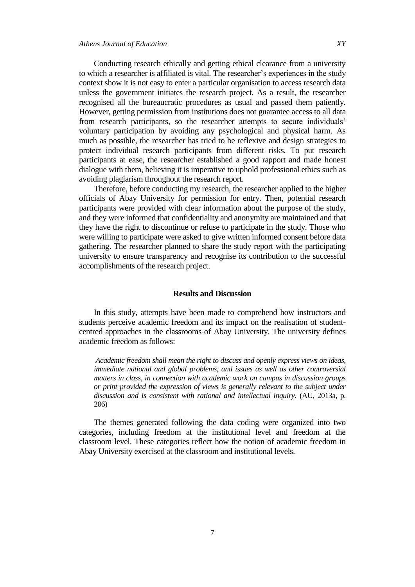Conducting research ethically and getting ethical clearance from a university to which a researcher is affiliated is vital. The researcher"s experiences in the study context show it is not easy to enter a particular organisation to access research data unless the government initiates the research project. As a result, the researcher recognised all the bureaucratic procedures as usual and passed them patiently. However, getting permission from institutions does not guarantee access to all data from research participants, so the researcher attempts to secure individuals' voluntary participation by avoiding any psychological and physical harm. As much as possible, the researcher has tried to be reflexive and design strategies to protect individual research participants from different risks. To put research participants at ease, the researcher established a good rapport and made honest dialogue with them, believing it is imperative to uphold professional ethics such as avoiding plagiarism throughout the research report.

Therefore, before conducting my research, the researcher applied to the higher officials of Abay University for permission for entry. Then, potential research participants were provided with clear information about the purpose of the study, and they were informed that confidentiality and anonymity are maintained and that they have the right to discontinue or refuse to participate in the study. Those who were willing to participate were asked to give written informed consent before data gathering. The researcher planned to share the study report with the participating university to ensure transparency and recognise its contribution to the successful accomplishments of the research project.

#### **Results and Discussion**

In this study, attempts have been made to comprehend how instructors and students perceive academic freedom and its impact on the realisation of studentcentred approaches in the classrooms of Abay University. The university defines academic freedom as follows:

*Academic freedom shall mean the right to discuss and openly express views on ideas, immediate national and global problems, and issues as well as other controversial matters in class, in connection with academic work on campus in discussion groups or print provided the expression of views is generally relevant to the subject under discussion and is consistent with rational and intellectual inquiry.* (AU, 2013a, p. 206)

The themes generated following the data coding were organized into two categories, including freedom at the institutional level and freedom at the classroom level. These categories reflect how the notion of academic freedom in Abay University exercised at the classroom and institutional levels.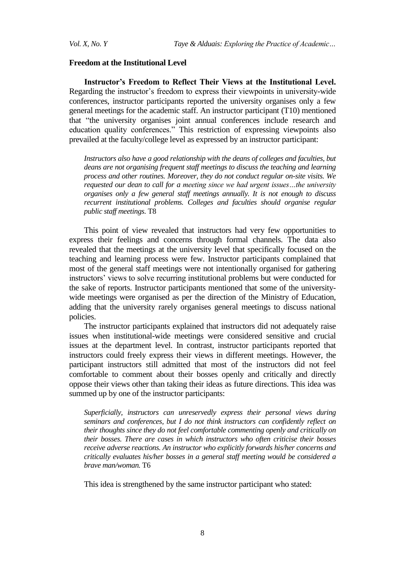#### **Freedom at the Institutional Level**

**Instructor's Freedom to Reflect Their Views at the Institutional Level.** Regarding the instructor"s freedom to express their viewpoints in university-wide conferences, instructor participants reported the university organises only a few general meetings for the academic staff. An instructor participant (T10) mentioned that "the university organises joint annual conferences include research and education quality conferences." This restriction of expressing viewpoints also prevailed at the faculty/college level as expressed by an instructor participant:

Instructors also have a good relationship with the deans of colleges and faculties, but *deans are not organising frequent staff meetings to discuss the teaching and learning process and other routines. Moreover, they do not conduct regular on-site visits. We requested our dean to call for a meeting since we had urgent issues…the university organises only a few general staff meetings annually. It is not enough to discuss recurrent institutional problems. Colleges and faculties should organise regular public staff meetings.* T8

This point of view revealed that instructors had very few opportunities to express their feelings and concerns through formal channels. The data also revealed that the meetings at the university level that specifically focused on the teaching and learning process were few. Instructor participants complained that most of the general staff meetings were not intentionally organised for gathering instructors' views to solve recurring institutional problems but were conducted for the sake of reports. Instructor participants mentioned that some of the universitywide meetings were organised as per the direction of the Ministry of Education, adding that the university rarely organises general meetings to discuss national policies.

The instructor participants explained that instructors did not adequately raise issues when institutional-wide meetings were considered sensitive and crucial issues at the department level. In contrast, instructor participants reported that instructors could freely express their views in different meetings. However, the participant instructors still admitted that most of the instructors did not feel comfortable to comment about their bosses openly and critically and directly oppose their views other than taking their ideas as future directions. This idea was summed up by one of the instructor participants:

*Superficially, instructors can unreservedly express their personal views during seminars and conferences, but I do not think instructors can confidently reflect on their thoughts since they do not feel comfortable commenting openly and critically on their bosses. There are cases in which instructors who often criticise their bosses receive adverse reactions. An instructor who explicitly forwards his/her concerns and critically evaluates his/her bosses in a general staff meeting would be considered a brave man/woman.* T6

This idea is strengthened by the same instructor participant who stated: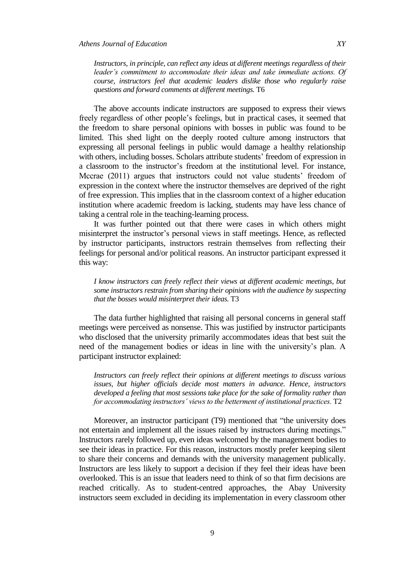*Instructors, in principle, can reflect any ideas at different meetings regardless of their leader"s commitment to accommodate their ideas and take immediate actions. Of course, instructors feel that academic leaders dislike those who regularly raise questions and forward comments at different meetings.* T6

The above accounts indicate instructors are supposed to express their views freely regardless of other people"s feelings, but in practical cases, it seemed that the freedom to share personal opinions with bosses in public was found to be limited. This shed light on the deeply rooted culture among instructors that expressing all personal feelings in public would damage a healthy relationship with others, including bosses. Scholars attribute students' freedom of expression in a classroom to the instructor"s freedom at the institutional level. For instance, Mccrae (2011) argues that instructors could not value students" freedom of expression in the context where the instructor themselves are deprived of the right of free expression. This implies that in the classroom context of a higher education institution where academic freedom is lacking, students may have less chance of taking a central role in the teaching-learning process.

It was further pointed out that there were cases in which others might misinterpret the instructor's personal views in staff meetings. Hence, as reflected by instructor participants, instructors restrain themselves from reflecting their feelings for personal and/or political reasons. An instructor participant expressed it this way:

*I know instructors can freely reflect their views at different academic meetings, but some instructors restrain from sharing their opinions with the audience by suspecting that the bosses would misinterpret their ideas.* T3

The data further highlighted that raising all personal concerns in general staff meetings were perceived as nonsense. This was justified by instructor participants who disclosed that the university primarily accommodates ideas that best suit the need of the management bodies or ideas in line with the university"s plan. A participant instructor explained:

*Instructors can freely reflect their opinions at different meetings to discuss various issues, but higher officials decide most matters in advance. Hence, instructors developed a feeling that most sessions take place for the sake of formality rather than for accommodating instructors' views to the betterment of institutional practices.* T2

Moreover, an instructor participant (T9) mentioned that "the university does not entertain and implement all the issues raised by instructors during meetings." Instructors rarely followed up, even ideas welcomed by the management bodies to see their ideas in practice. For this reason, instructors mostly prefer keeping silent to share their concerns and demands with the university management publically. Instructors are less likely to support a decision if they feel their ideas have been overlooked. This is an issue that leaders need to think of so that firm decisions are reached critically. As to student-centred approaches, the Abay University instructors seem excluded in deciding its implementation in every classroom other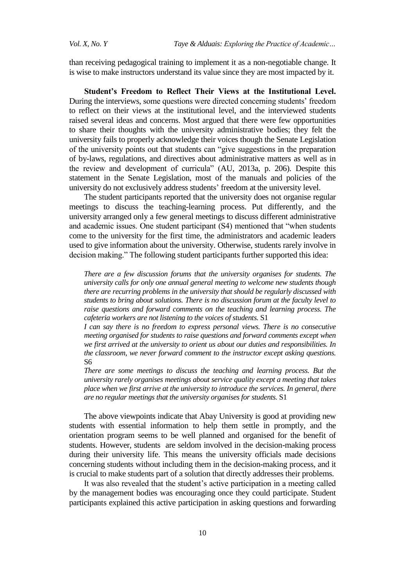than receiving pedagogical training to implement it as a non-negotiable change. It is wise to make instructors understand its value since they are most impacted by it.

**Student's Freedom to Reflect Their Views at the Institutional Level.**  During the interviews, some questions were directed concerning students" freedom to reflect on their views at the institutional level, and the interviewed students raised several ideas and concerns. Most argued that there were few opportunities to share their thoughts with the university administrative bodies; they felt the university fails to properly acknowledge their voices though the Senate Legislation of the university points out that students can "give suggestions in the preparation of by-laws, regulations, and directives about administrative matters as well as in the review and development of curricula" (AU, 2013a, p. 206). Despite this statement in the Senate Legislation, most of the manuals and policies of the university do not exclusively address students" freedom at the university level.

The student participants reported that the university does not organise regular meetings to discuss the teaching-learning process. Put differently, and the university arranged only a few general meetings to discuss different administrative and academic issues. One student participant (S4) mentioned that "when students come to the university for the first time, the administrators and academic leaders used to give information about the university. Otherwise, students rarely involve in decision making." The following student participants further supported this idea:

*There are a few discussion forums that the university organises for students. The university calls for only one annual general meeting to welcome new students though there are recurring problems in the university that should be regularly discussed with students to bring about solutions. There is no discussion forum at the faculty level to raise questions and forward comments on the teaching and learning process. The cafeteria workers are not listening to the voices of students.* S1

*I can say there is no freedom to express personal views. There is no consecutive meeting organised for students to raise questions and forward comments except when we first arrived at the university to orient us about our duties and responsibilities. In the classroom, we never forward comment to the instructor except asking questions.*  S6

*There are some meetings to discuss the teaching and learning process. But the university rarely organises meetings about service quality except a meeting that takes place when we first arrive at the university to introduce the services. In general, there are no regular meetings that the university organises for students.* S1

The above viewpoints indicate that Abay University is good at providing new students with essential information to help them settle in promptly, and the orientation program seems to be well planned and organised for the benefit of students. However, students are seldom involved in the decision-making process during their university life. This means the university officials made decisions concerning students without including them in the decision-making process, and it is crucial to make students part of a solution that directly addresses their problems.

It was also revealed that the student's active participation in a meeting called by the management bodies was encouraging once they could participate. Student participants explained this active participation in asking questions and forwarding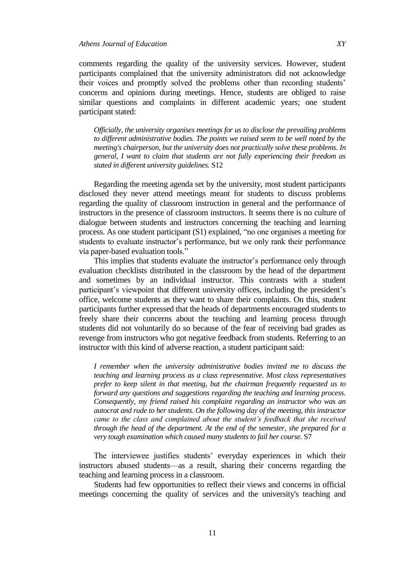comments regarding the quality of the university services. However, student participants complained that the university administrators did not acknowledge their voices and promptly solved the problems other than recording students' concerns and opinions during meetings. Hence, students are obliged to raise similar questions and complaints in different academic years; one student participant stated:

*Officially, the university organises meetings for us to disclose the prevailing problems to different administrative bodies. The points we raised seem to be well noted by the meeting's chairperson, but the university does not practically solve these problems. In general, I want to claim that students are not fully experiencing their freedom as stated in different university guidelines.* S12

Regarding the meeting agenda set by the university, most student participants disclosed they never attend meetings meant for students to discuss problems regarding the quality of classroom instruction in general and the performance of instructors in the presence of classroom instructors. It seems there is no culture of dialogue between students and instructors concerning the teaching and learning process. As one student participant (S1) explained, "no one organises a meeting for students to evaluate instructor's performance, but we only rank their performance via paper-based evaluation tools."

This implies that students evaluate the instructor's performance only through evaluation checklists distributed in the classroom by the head of the department and sometimes by an individual instructor. This contrasts with a student participant's viewpoint that different university offices, including the president's office, welcome students as they want to share their complaints. On this, student participants further expressed that the heads of departments encouraged students to freely share their concerns about the teaching and learning process through students did not voluntarily do so because of the fear of receiving bad grades as revenge from instructors who got negative feedback from students. Referring to an instructor with this kind of adverse reaction, a student participant said:

*I remember when the university administrative bodies invited me to discuss the teaching and learning process as a class representative. Most class representatives prefer to keep silent in that meeting, but the chairman frequently requested us to forward any questions and suggestions regarding the teaching and learning process. Consequently, my friend raised his complaint regarding an instructor who was an autocrat and rude to her students. On the following day of the meeting, this instructor came to the class and complained about the student"s feedback that she received through the head of the department. At the end of the semester, she prepared for a very tough examination which caused many students to fail her course.* S7

The interviewee justifies students' everyday experiences in which their instructors abused students—as a result, sharing their concerns regarding the teaching and learning process in a classroom.

Students had few opportunities to reflect their views and concerns in official meetings concerning the quality of services and the university's teaching and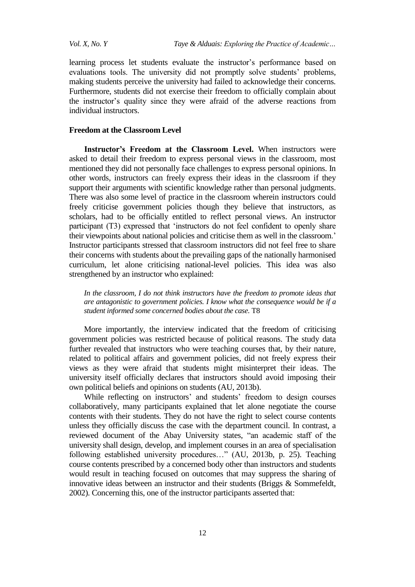learning process let students evaluate the instructor"s performance based on evaluations tools. The university did not promptly solve students' problems, making students perceive the university had failed to acknowledge their concerns. Furthermore, students did not exercise their freedom to officially complain about the instructor"s quality since they were afraid of the adverse reactions from individual instructors.

# **Freedom at the Classroom Level**

**Instructor's Freedom at the Classroom Level.** When instructors were asked to detail their freedom to express personal views in the classroom, most mentioned they did not personally face challenges to express personal opinions. In other words, instructors can freely express their ideas in the classroom if they support their arguments with scientific knowledge rather than personal judgments. There was also some level of practice in the classroom wherein instructors could freely criticise government policies though they believe that instructors, as scholars, had to be officially entitled to reflect personal views. An instructor participant (T3) expressed that "instructors do not feel confident to openly share their viewpoints about national policies and criticise them as well in the classroom." Instructor participants stressed that classroom instructors did not feel free to share their concerns with students about the prevailing gaps of the nationally harmonised curriculum, let alone criticising national-level policies. This idea was also strengthened by an instructor who explained:

*In the classroom, I do not think instructors have the freedom to promote ideas that are antagonistic to government policies. I know what the consequence would be if a student informed some concerned bodies about the case.* T8

More importantly, the interview indicated that the freedom of criticising government policies was restricted because of political reasons. The study data further revealed that instructors who were teaching courses that, by their nature, related to political affairs and government policies, did not freely express their views as they were afraid that students might misinterpret their ideas. The university itself officially declares that instructors should avoid imposing their own political beliefs and opinions on students (AU, 2013b).

While reflecting on instructors' and students' freedom to design courses collaboratively, many participants explained that let alone negotiate the course contents with their students. They do not have the right to select course contents unless they officially discuss the case with the department council. In contrast, a reviewed document of the Abay University states, "an academic staff of the university shall design, develop, and implement courses in an area of specialisation following established university procedures…" (AU, 2013b, p. 25). Teaching course contents prescribed by a concerned body other than instructors and students would result in teaching focused on outcomes that may suppress the sharing of innovative ideas between an instructor and their students (Briggs & Sommefeldt, 2002). Concerning this, one of the instructor participants asserted that: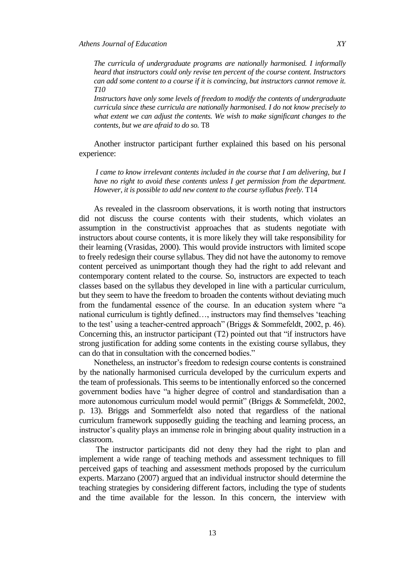*The curricula of undergraduate programs are nationally harmonised. I informally heard that instructors could only revise ten percent of the course content. Instructors can add some content to a course if it is convincing, but instructors cannot remove it. T10*

*Instructors have only some levels of freedom to modify the contents of undergraduate curricula since these curricula are nationally harmonised. I do not know precisely to what extent we can adjust the contents. We wish to make significant changes to the contents, but we are afraid to do so.* T8

Another instructor participant further explained this based on his personal experience:

*I came to know irrelevant contents included in the course that I am delivering, but I have no right to avoid these contents unless I get permission from the department. However, it is possible to add new content to the course syllabus freely.* T14

As revealed in the classroom observations, it is worth noting that instructors did not discuss the course contents with their students, which violates an assumption in the constructivist approaches that as students negotiate with instructors about course contents, it is more likely they will take responsibility for their learning (Vrasidas, 2000). This would provide instructors with limited scope to freely redesign their course syllabus. They did not have the autonomy to remove content perceived as unimportant though they had the right to add relevant and contemporary content related to the course. So, instructors are expected to teach classes based on the syllabus they developed in line with a particular curriculum, but they seem to have the freedom to broaden the contents without deviating much from the fundamental essence of the course. In an education system where "a national curriculum is tightly defined…, instructors may find themselves "teaching to the test" using a teacher-centred approach" (Briggs & Sommefeldt, 2002, p. 46). Concerning this, an instructor participant (T2) pointed out that "if instructors have strong justification for adding some contents in the existing course syllabus, they can do that in consultation with the concerned bodies."

Nonetheless, an instructor"s freedom to redesign course contents is constrained by the nationally harmonised curricula developed by the curriculum experts and the team of professionals. This seems to be intentionally enforced so the concerned government bodies have "a higher degree of control and standardisation than a more autonomous curriculum model would permit" (Briggs & Sommefeldt, 2002, p. 13). Briggs and Sommerfeldt also noted that regardless of the national curriculum framework supposedly guiding the teaching and learning process, an instructor's quality plays an immense role in bringing about quality instruction in a classroom.

The instructor participants did not deny they had the right to plan and implement a wide range of teaching methods and assessment techniques to fill perceived gaps of teaching and assessment methods proposed by the curriculum experts. Marzano (2007) argued that an individual instructor should determine the teaching strategies by considering different factors, including the type of students and the time available for the lesson. In this concern, the interview with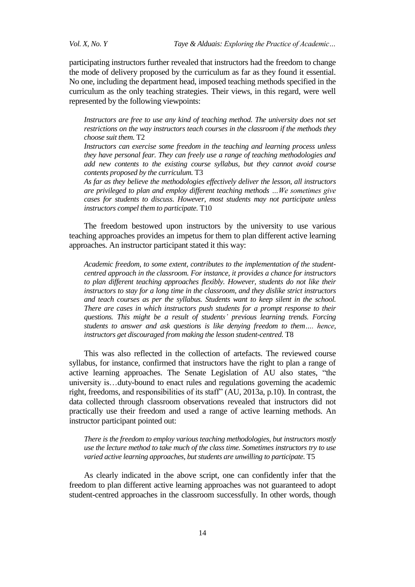*Vol. X, No. Y Taye & Alduais: Exploring the Practice of Academic…*

participating instructors further revealed that instructors had the freedom to change the mode of delivery proposed by the curriculum as far as they found it essential. No one, including the department head, imposed teaching methods specified in the curriculum as the only teaching strategies. Their views, in this regard, were well represented by the following viewpoints:

Instructors are free to use any kind of teaching method. The university does not set *restrictions on the way instructors teach courses in the classroom if the methods they choose suit them.* T2

*Instructors can exercise some freedom in the teaching and learning process unless they have personal fear. They can freely use a range of teaching methodologies and add new contents to the existing course syllabus, but they cannot avoid course contents proposed by the curriculum.* T3

*As far as they believe the methodologies effectively deliver the lesson, all instructors are privileged to plan and employ different teaching methods …We sometimes give cases for students to discuss. However, most students may not participate unless instructors compel them to participate.* T10

The freedom bestowed upon instructors by the university to use various teaching approaches provides an impetus for them to plan different active learning approaches. An instructor participant stated it this way:

*Academic freedom, to some extent, contributes to the implementation of the studentcentred approach in the classroom. For instance, it provides a chance for instructors to plan different teaching approaches flexibly. However, students do not like their instructors to stay for a long time in the classroom, and they dislike strict instructors and teach courses as per the syllabus. Students want to keep silent in the school. There are cases in which instructors push students for a prompt response to their questions. This might be a result of students" previous learning trends. Forcing students to answer and ask questions is like denying freedom to them…. hence, instructors get discouraged from making the lesson student-centred.* T8

This was also reflected in the collection of artefacts. The reviewed course syllabus, for instance, confirmed that instructors have the right to plan a range of active learning approaches. The Senate Legislation of AU also states, "the university is…duty-bound to enact rules and regulations governing the academic right, freedoms, and responsibilities of its staff" (AU, 2013a, p.10). In contrast, the data collected through classroom observations revealed that instructors did not practically use their freedom and used a range of active learning methods. An instructor participant pointed out:

*There is the freedom to employ various teaching methodologies, but instructors mostly use the lecture method to take much of the class time. Sometimes instructors try to use varied active learning approaches, but students are unwilling to participate.* T5

As clearly indicated in the above script, one can confidently infer that the freedom to plan different active learning approaches was not guaranteed to adopt student-centred approaches in the classroom successfully. In other words, though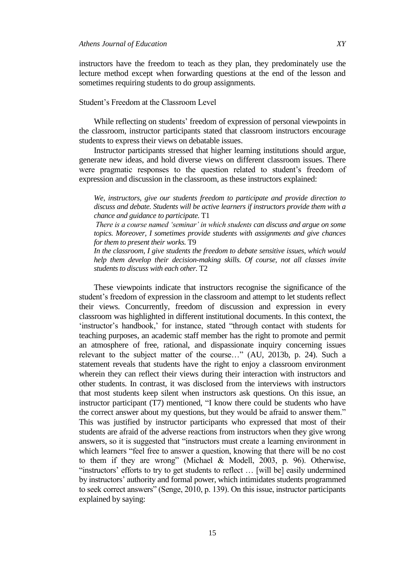instructors have the freedom to teach as they plan, they predominately use the lecture method except when forwarding questions at the end of the lesson and sometimes requiring students to do group assignments.

# Student"s Freedom at the Classroom Level

While reflecting on students' freedom of expression of personal viewpoints in the classroom, instructor participants stated that classroom instructors encourage students to express their views on debatable issues.

Instructor participants stressed that higher learning institutions should argue, generate new ideas, and hold diverse views on different classroom issues. There were pragmatic responses to the question related to student"s freedom of expression and discussion in the classroom, as these instructors explained:

*We, instructors, give our students freedom to participate and provide direction to discuss and debate. Students will be active learners if instructors provide them with a chance and guidance to participate.* T1

*There is a course named "seminar" in which students can discuss and argue on some topics. Moreover, I sometimes provide students with assignments and give chances for them to present their works.* T9

*In the classroom, I give students the freedom to debate sensitive issues, which would help them develop their decision-making skills. Of course, not all classes invite students to discuss with each other.* T2

These viewpoints indicate that instructors recognise the significance of the student"s freedom of expression in the classroom and attempt to let students reflect their views. Concurrently, freedom of discussion and expression in every classroom was highlighted in different institutional documents. In this context, the 'instructor's handbook,' for instance, stated "through contact with students for teaching purposes, an academic staff member has the right to promote and permit an atmosphere of free, rational, and dispassionate inquiry concerning issues relevant to the subject matter of the course…" (AU, 2013b, p. 24). Such a statement reveals that students have the right to enjoy a classroom environment wherein they can reflect their views during their interaction with instructors and other students. In contrast, it was disclosed from the interviews with instructors that most students keep silent when instructors ask questions. On this issue, an instructor participant (T7) mentioned, "I know there could be students who have the correct answer about my questions, but they would be afraid to answer them." This was justified by instructor participants who expressed that most of their students are afraid of the adverse reactions from instructors when they give wrong answers, so it is suggested that "instructors must create a learning environment in which learners "feel free to answer a question, knowing that there will be no cost to them if they are wrong" (Michael & Modell, 2003, p. 96). Otherwise, "instructors' efforts to try to get students to reflect ... [will be] easily undermined by instructors' authority and formal power, which intimidates students programmed to seek correct answers" (Senge, 2010, p. 139). On this issue, instructor participants explained by saying: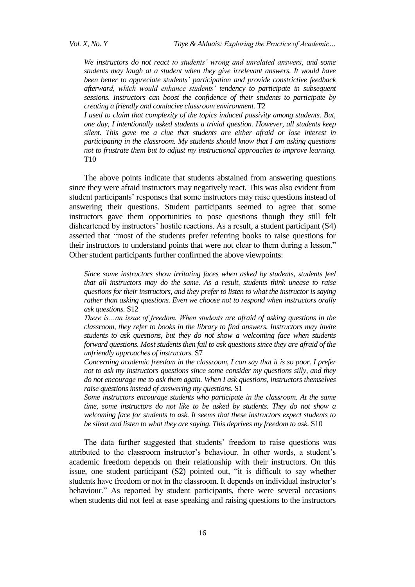*We instructors do not react to students" wrong and unrelated answers, and some students may laugh at a student when they give irrelevant answers. It would have been better to appreciate students" participation and provide constrictive feedback afterward, which would enhance students" tendency to participate in subsequent sessions. Instructors can boost the confidence of their students to participate by creating a friendly and conducive classroom environment.* T2

*I used to claim that complexity of the topics induced passivity among students. But, one day, I intentionally asked students a trivial question. However, all students keep silent. This gave me a clue that students are either afraid or lose interest in participating in the classroom. My students should know that I am asking questions not to frustrate them but to adjust my instructional approaches to improve learning.*  T10

The above points indicate that students abstained from answering questions since they were afraid instructors may negatively react. This was also evident from student participants' responses that some instructors may raise questions instead of answering their questions. Student participants seemed to agree that some instructors gave them opportunities to pose questions though they still felt disheartened by instructors' hostile reactions. As a result, a student participant (S4) asserted that "most of the students prefer referring books to raise questions for their instructors to understand points that were not clear to them during a lesson." Other student participants further confirmed the above viewpoints:

*Since some instructors show irritating faces when asked by students, students feel that all instructors may do the same. As a result, students think unease to raise questions for their instructors, and they prefer to listen to what the instructor is saying rather than asking questions. Even we choose not to respond when instructors orally ask questions.* S12

*There is…an issue of freedom. When students are afraid of asking questions in the classroom, they refer to books in the library to find answers. Instructors may invite students to ask questions, but they do not show a welcoming face when students forward questions. Most students then fail to ask questions since they are afraid of the unfriendly approaches of instructors.* S7

*Concerning academic freedom in the classroom, I can say that it is so poor. I prefer not to ask my instructors questions since some consider my questions silly, and they do not encourage me to ask them again. When I ask questions, instructors themselves raise questions instead of answering my questions.* S1

*Some instructors encourage students who participate in the classroom. At the same time, some instructors do not like to be asked by students. They do not show a welcoming face for students to ask. It seems that these instructors expect students to be silent and listen to what they are saying. This deprives my freedom to ask.* S10

The data further suggested that students' freedom to raise questions was attributed to the classroom instructor"s behaviour. In other words, a student"s academic freedom depends on their relationship with their instructors. On this issue, one student participant (S2) pointed out, "it is difficult to say whether students have freedom or not in the classroom. It depends on individual instructor's behaviour." As reported by student participants, there were several occasions when students did not feel at ease speaking and raising questions to the instructors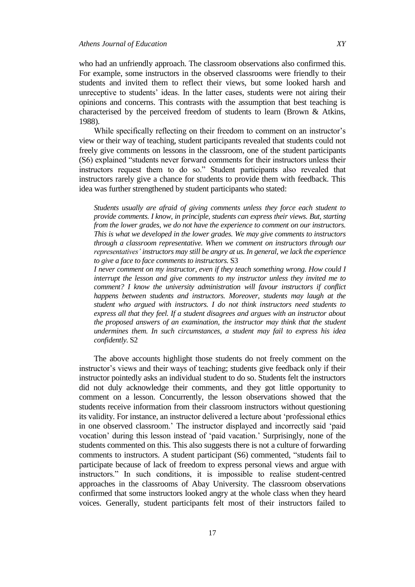who had an unfriendly approach. The classroom observations also confirmed this. For example, some instructors in the observed classrooms were friendly to their students and invited them to reflect their views, but some looked harsh and unreceptive to students" ideas. In the latter cases, students were not airing their opinions and concerns. This contrasts with the assumption that best teaching is characterised by the perceived freedom of students to learn (Brown & Atkins, 1988).

While specifically reflecting on their freedom to comment on an instructor's view or their way of teaching, student participants revealed that students could not freely give comments on lessons in the classroom, one of the student participants (S6) explained "students never forward comments for their instructors unless their instructors request them to do so." Student participants also revealed that instructors rarely give a chance for students to provide them with feedback. This idea was further strengthened by student participants who stated:

*Students usually are afraid of giving comments unless they force each student to provide comments. I know, in principle, students can express their views. But, starting from the lower grades, we do not have the experience to comment on our instructors. This is what we developed in the lower grades. We may give comments to instructors through a classroom representative. When we comment on instructors through our representatives" instructors may still be angry at us. In general, we lack the experience to give a face to face comments to instructors.* S3

*I never comment on my instructor, even if they teach something wrong. How could I interrupt the lesson and give comments to my instructor unless they invited me to comment? I know the university administration will favour instructors if conflict happens between students and instructors. Moreover, students may laugh at the student who argued with instructors. I do not think instructors need students to express all that they feel. If a student disagrees and argues with an instructor about the proposed answers of an examination, the instructor may think that the student undermines them. In such circumstances, a student may fail to express his idea confidently.* S2

The above accounts highlight those students do not freely comment on the instructor's views and their ways of teaching; students give feedback only if their instructor pointedly asks an individual student to do so. Students felt the instructors did not duly acknowledge their comments, and they got little opportunity to comment on a lesson. Concurrently, the lesson observations showed that the students receive information from their classroom instructors without questioning its validity. For instance, an instructor delivered a lecture about "professional ethics in one observed classroom." The instructor displayed and incorrectly said "paid vocation" during this lesson instead of "paid vacation." Surprisingly, none of the students commented on this. This also suggests there is not a culture of forwarding comments to instructors. A student participant (S6) commented, "students fail to participate because of lack of freedom to express personal views and argue with instructors." In such conditions, it is impossible to realise student-centred approaches in the classrooms of Abay University. The classroom observations confirmed that some instructors looked angry at the whole class when they heard voices. Generally, student participants felt most of their instructors failed to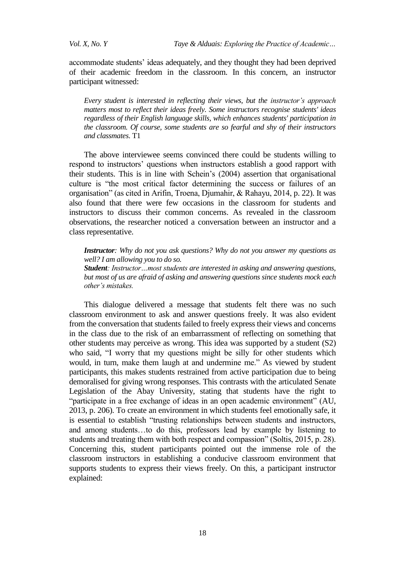*Vol. X, No. Y Taye & Alduais: Exploring the Practice of Academic…*

accommodate students" ideas adequately, and they thought they had been deprived of their academic freedom in the classroom. In this concern, an instructor participant witnessed:

*Every student is interested in reflecting their views, but the instructor"s approach matters most to reflect their ideas freely. Some instructors recognise students' ideas regardless of their English language skills, which enhances students' participation in the classroom. Of course, some students are so fearful and shy of their instructors and classmates.* T1

The above interviewee seems convinced there could be students willing to respond to instructors' questions when instructors establish a good rapport with their students. This is in line with Schein"s (2004) assertion that organisational culture is "the most critical factor determining the success or failures of an organisation" (as cited in Arifin, Troena, Djumahir, & Rahayu, 2014, p. 22). It was also found that there were few occasions in the classroom for students and instructors to discuss their common concerns. As revealed in the classroom observations, the researcher noticed a conversation between an instructor and a class representative.

*Instructor: Why do not you ask questions? Why do not you answer my questions as well? I am allowing you to do so.*

*Student: Instructor…most students are interested in asking and answering questions, but most of us are afraid of asking and answering questions since students mock each other"s mistakes.* 

This dialogue delivered a message that students felt there was no such classroom environment to ask and answer questions freely. It was also evident from the conversation that students failed to freely express their views and concerns in the class due to the risk of an embarrassment of reflecting on something that other students may perceive as wrong. This idea was supported by a student (S2) who said, "I worry that my questions might be silly for other students which would, in turn, make them laugh at and undermine me." As viewed by student participants, this makes students restrained from active participation due to being demoralised for giving wrong responses. This contrasts with the articulated Senate Legislation of the Abay University, stating that students have the right to "participate in a free exchange of ideas in an open academic environment" (AU, 2013, p. 206). To create an environment in which students feel emotionally safe, it is essential to establish "trusting relationships between students and instructors, and among students…to do this, professors lead by example by listening to students and treating them with both respect and compassion" (Soltis, 2015, p. 28). Concerning this, student participants pointed out the immense role of the classroom instructors in establishing a conducive classroom environment that supports students to express their views freely. On this, a participant instructor explained: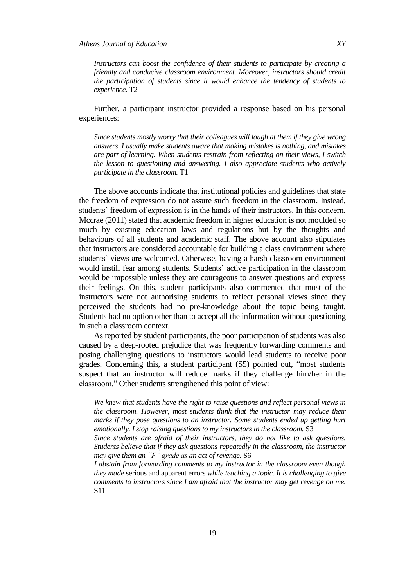*Instructors can boost the confidence of their students to participate by creating a friendly and conducive classroom environment. Moreover, instructors should credit the participation of students since it would enhance the tendency of students to experience.* T2

Further, a participant instructor provided a response based on his personal experiences:

*Since students mostly worry that their colleagues will laugh at them if they give wrong answers, I usually make students aware that making mistakes is nothing, and mistakes are part of learning. When students restrain from reflecting on their views, I switch the lesson to questioning and answering. I also appreciate students who actively participate in the classroom.* T1

The above accounts indicate that institutional policies and guidelines that state the freedom of expression do not assure such freedom in the classroom. Instead, students' freedom of expression is in the hands of their instructors. In this concern, Mccrae (2011) stated that academic freedom in higher education is not moulded so much by existing education laws and regulations but by the thoughts and behaviours of all students and academic staff. The above account also stipulates that instructors are considered accountable for building a class environment where students" views are welcomed. Otherwise, having a harsh classroom environment would instill fear among students. Students' active participation in the classroom would be impossible unless they are courageous to answer questions and express their feelings. On this, student participants also commented that most of the instructors were not authorising students to reflect personal views since they perceived the students had no pre-knowledge about the topic being taught. Students had no option other than to accept all the information without questioning in such a classroom context.

As reported by student participants, the poor participation of students was also caused by a deep-rooted prejudice that was frequently forwarding comments and posing challenging questions to instructors would lead students to receive poor grades. Concerning this, a student participant (S5) pointed out, "most students suspect that an instructor will reduce marks if they challenge him/her in the classroom." Other students strengthened this point of view:

*We knew that students have the right to raise questions and reflect personal views in the classroom. However, most students think that the instructor may reduce their marks if they pose questions to an instructor. Some students ended up getting hurt emotionally. I stop raising questions to my instructors in the classroom.* S3

*Since students are afraid of their instructors, they do not like to ask questions. Students believe that if they ask questions repeatedly in the classroom, the instructor may give them an "F" grade as an act of revenge.* S6

*I abstain from forwarding comments to my instructor in the classroom even though they made* serious and apparent errors *while teaching a topic. It is challenging to give comments to instructors since I am afraid that the instructor may get revenge on me.*  S11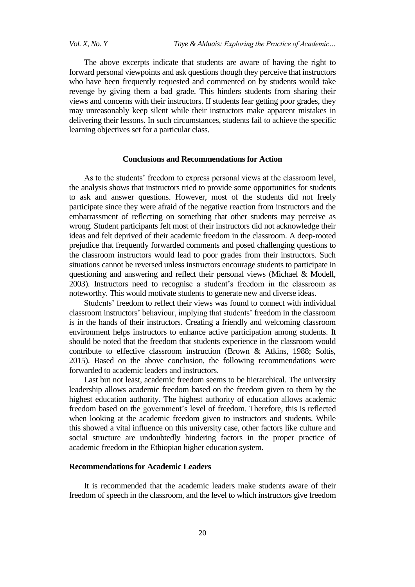*Vol. X, No. Y Taye & Alduais: Exploring the Practice of Academic…*

The above excerpts indicate that students are aware of having the right to forward personal viewpoints and ask questions though they perceive that instructors who have been frequently requested and commented on by students would take revenge by giving them a bad grade. This hinders students from sharing their views and concerns with their instructors. If students fear getting poor grades, they may unreasonably keep silent while their instructors make apparent mistakes in delivering their lessons. In such circumstances, students fail to achieve the specific learning objectives set for a particular class.

#### **Conclusions and Recommendations for Action**

As to the students' freedom to express personal views at the classroom level, the analysis shows that instructors tried to provide some opportunities for students to ask and answer questions. However, most of the students did not freely participate since they were afraid of the negative reaction from instructors and the embarrassment of reflecting on something that other students may perceive as wrong. Student participants felt most of their instructors did not acknowledge their ideas and felt deprived of their academic freedom in the classroom. A deep-rooted prejudice that frequently forwarded comments and posed challenging questions to the classroom instructors would lead to poor grades from their instructors. Such situations cannot be reversed unless instructors encourage students to participate in questioning and answering and reflect their personal views (Michael & Modell, 2003). Instructors need to recognise a student"s freedom in the classroom as noteworthy. This would motivate students to generate new and diverse ideas.

Students' freedom to reflect their views was found to connect with individual classroom instructors" behaviour, implying that students" freedom in the classroom is in the hands of their instructors. Creating a friendly and welcoming classroom environment helps instructors to enhance active participation among students. It should be noted that the freedom that students experience in the classroom would contribute to effective classroom instruction (Brown & Atkins, 1988; Soltis, 2015). Based on the above conclusion, the following recommendations were forwarded to academic leaders and instructors.

Last but not least, academic freedom seems to be hierarchical. The university leadership allows academic freedom based on the freedom given to them by the highest education authority. The highest authority of education allows academic freedom based on the government's level of freedom. Therefore, this is reflected when looking at the academic freedom given to instructors and students. While this showed a vital influence on this university case, other factors like culture and social structure are undoubtedly hindering factors in the proper practice of academic freedom in the Ethiopian higher education system.

# **Recommendations for Academic Leaders**

It is recommended that the academic leaders make students aware of their freedom of speech in the classroom, and the level to which instructors give freedom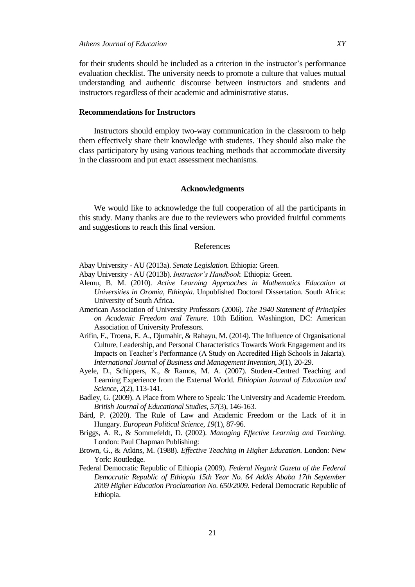for their students should be included as a criterion in the instructor"s performance evaluation checklist. The university needs to promote a culture that values mutual understanding and authentic discourse between instructors and students and instructors regardless of their academic and administrative status.

#### **Recommendations for Instructors**

Instructors should employ two-way communication in the classroom to help them effectively share their knowledge with students. They should also make the class participatory by using various teaching methods that accommodate diversity in the classroom and put exact assessment mechanisms.

#### **Acknowledgments**

We would like to acknowledge the full cooperation of all the participants in this study. Many thanks are due to the reviewers who provided fruitful comments and suggestions to reach this final version.

#### References

Abay University - AU (2013a). *Senate Legislation.* Ethiopia: Green*.*

- Abay University AU (2013b). *Instructor"s Handbook.* Ethiopia: Green*.*
- Alemu, B. M. (2010). *Active Learning Approaches in Mathematics Education at Universities in Oromia, Ethiopia*. Unpublished Doctoral Dissertation. South Africa: University of South Africa.
- American Association of University Professors (2006). *The 1940 Statement of Principles on Academic Freedom and Tenure*. 10th Edition. Washington, DC: American Association of University Professors.
- Arifin, F., Troena, E. A., Djumahir, & Rahayu, M. (2014). The Influence of Organisational Culture, Leadership, and Personal Characteristics Towards Work Engagement and its Impacts on Teacher"s Performance (A Study on Accredited High Schools in Jakarta). *International Journal of Business and Management Invention, 3*(1), 20-29.
- Ayele, D., Schippers, K., & Ramos, M. A. (2007). Student-Centred Teaching and Learning Experience from the External World. *Ethiopian Journal of Education and Science, 2*(2), 113-141.
- Badley, G. (2009). A Place from Where to Speak: The University and Academic Freedom. *British Journal of Educational Studies, 57*(3), 146-163.
- Bárd, P. (2020). The Rule of Law and Academic Freedom or the Lack of it in Hungary. *European Political Science*, *19*(1), 87-96.
- Briggs, A. R., & Sommefeldt, D. (2002). *Managing Effective Learning and Teaching*. London: Paul Chapman Publishing:
- Brown, G., & Atkins, M. (1988). *Effective Teaching in Higher Education*. London: New York: Routledge.
- Federal Democratic Republic of Ethiopia (2009). *Federal Negarit Gazeta of the Federal Democratic Republic of Ethiopia 15th Year No. 64 Addis Ababa 17th September 2009 Higher Education Proclamation No. 650/2009*. Federal Democratic Republic of Ethiopia.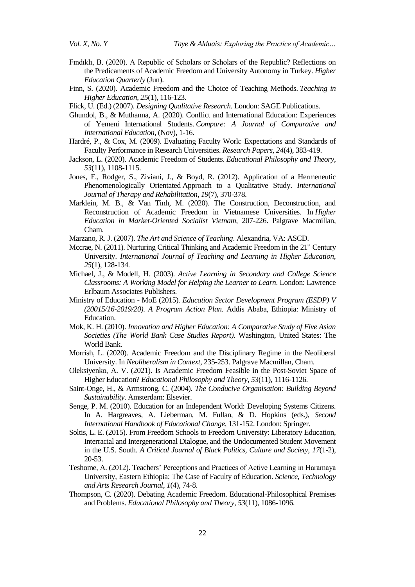- Fındıklı, B. (2020). A Republic of Scholars or Scholars of the Republic? Reflections on the Predicaments of Academic Freedom and University Autonomy in Turkey. *Higher Education Quarterly* (Jun).
- Finn, S. (2020). Academic Freedom and the Choice of Teaching Methods. *Teaching in Higher Education*, *25*(1), 116-123.
- Flick, U. (Ed.) (2007). *Designing Qualitative Research*. London: SAGE Publications.
- Ghundol, B., & Muthanna, A. (2020). Conflict and International Education: Experiences of Yemeni International Students. *Compare: A Journal of Comparative and International Education*, (Nov), 1-16.
- Hardré, P., & Cox, M. (2009). Evaluating Faculty Work: Expectations and Standards of Faculty Performance in Research Universities. *Research Papers, 24*(4), 383-419.
- Jackson, L. (2020). Academic Freedom of Students. *Educational Philosophy and Theory*, *53*(11), 1108-1115.
- Jones, F., Rodger, S., Ziviani, J., & Boyd, R. (2012). Application of a Hermeneutic Phenomenologically Orientated Approach to a Qualitative Study. *International Journal of Therapy and Rehabilitation, 19*(7), 370-378.
- Marklein, M. B., & Van Tinh, M. (2020). The Construction, Deconstruction, and Reconstruction of Academic Freedom in Vietnamese Universities. In *Higher Education in Market-Oriented Socialist Vietnam*, 207-226. Palgrave Macmillan, Cham.
- Marzano, R. J. (2007). *The Art and Science of Teaching*. Alexandria, VA: ASCD.
- Mccrae, N. (2011). Nurturing Critical Thinking and Academic Freedom in the  $21<sup>st</sup>$  Century University. *International Journal of Teaching and Learning in Higher Education*, *25*(1), 128-134.
- Michael, J., & Modell, H. (2003). *Active Learning in Secondary and College Science Classrooms: A Working Model for Helping the Learner to Learn*. London: Lawrence Erlbaum Associates Publishers.
- Ministry of Education MoE (2015). *Education Sector Development Program (ESDP) V (20015/16-2019/20). A Program Action Plan*. Addis Ababa, Ethiopia: Ministry of Education.
- Mok, K. H. (2010). *Innovation and Higher Education: A Comparative Study of Five Asian Societies (The World Bank Case Studies Report)*. Washington, United States: The World Bank.
- Morrish, L. (2020). Academic Freedom and the Disciplinary Regime in the Neoliberal University. In *Neoliberalism in Context*, 235-253. Palgrave Macmillan, Cham.
- Oleksiyenko, A. V. (2021). Is Academic Freedom Feasible in the Post-Soviet Space of Higher Education? *Educational Philosophy and Theory*, *53*(11), 1116-1126.
- Saint-Onge, H., & Armstrong, C. (2004). *The Conducive Organisation: Building Beyond Sustainability*. Amsterdam: Elsevier.
- Senge, P. M. (2010). Education for an Independent World: Developing Systems Citizens. In A. Hargreaves, A. Lieberman, M. Fullan, & D. Hopkins (eds.), *Second International Handbook of Educational Change,* 131-152. London: Springer.
- Soltis, L. E. (2015). From Freedom Schools to Freedom University: Liberatory Education, Interracial and Intergenerational Dialogue, and the Undocumented Student Movement in the U.S. South. *A Critical Journal of Black Politics, Culture and Society, 17*(1-2), 20-53.
- Teshome, A. (2012). Teachers" Perceptions and Practices of Active Learning in Haramaya University, Eastern Ethiopia: The Case of Faculty of Education. *Science, Technology and Arts Research Journal*, *1*(4), 74-8.
- Thompson, C. (2020). Debating Academic Freedom. Educational-Philosophical Premises and Problems. *Educational Philosophy and Theory*, *53*(11), 1086-1096.